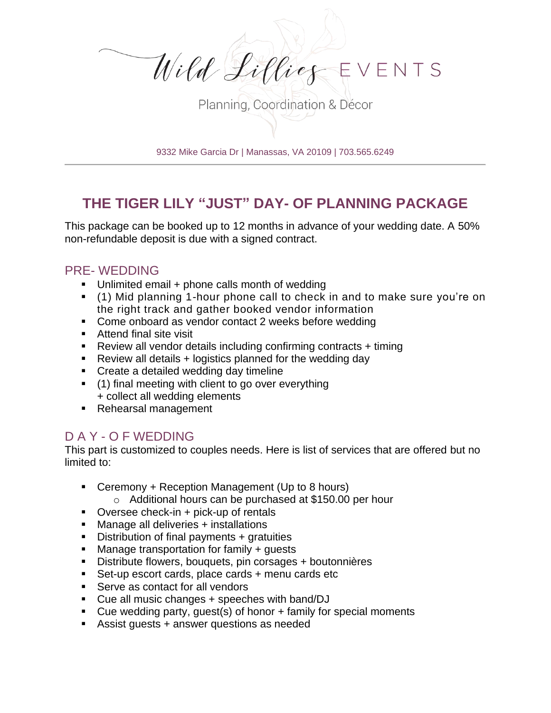

9332 Mike Garcia Dr | Manassas, VA 20109 | 703.565.6249

## **THE TIGER LILY "JUST" DAY- OF PLANNING PACKAGE**

This package can be booked up to 12 months in advance of your wedding date. A 50% non-refundable deposit is due with a signed contract.

## PRE- WEDDING

- $\blacksquare$  Unlimited email + phone calls month of wedding
- (1) Mid planning 1-hour phone call to check in and to make sure you're on the right track and gather booked vendor information
- Come onboard as vendor contact 2 weeks before wedding
- Attend final site visit
- Review all vendor details including confirming contracts + timing
- **EXECT** Review all details  $+$  logistics planned for the wedding day
- Create a detailed wedding day timeline
- (1) final meeting with client to go over everything + collect all wedding elements
- Rehearsal management

## D A Y - O F WEDDING

This part is customized to couples needs. Here is list of services that are offered but no limited to:

- Ceremony + Reception Management (Up to 8 hours)
	- o Additional hours can be purchased at \$150.00 per hour
- Oversee check-in + pick-up of rentals
- Manage all deliveries + installations
- Distribution of final payments + gratuities
- Manage transportation for family + guests
- Distribute flowers, bouquets, pin corsages + boutonnières
- Set-up escort cards, place cards + menu cards etc
- Serve as contact for all vendors
- Cue all music changes + speeches with band/DJ
- $\blacksquare$  Cue wedding party, guest(s) of honor  $+$  family for special moments
- Assist guests + answer questions as needed